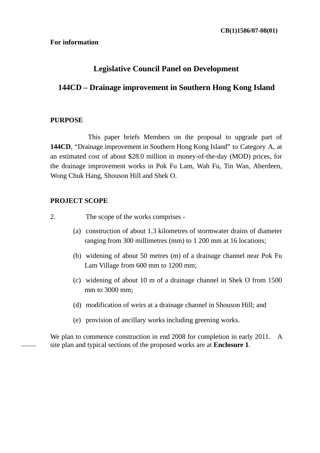#### **For information**

# **Legislative Council Panel on Development**

# **144CD – Drainage improvement in Southern Hong Kong Island**

### **PURPOSE**

 This paper briefs Members on the proposal to upgrade part of **144CD**, "Drainage improvement in Southern Hong Kong Island" to Category A, at an estimated cost of about \$28.0 million in money-of-the-day (MOD) prices, for the drainage improvement works in Pok Fu Lam, Wah Fu, Tin Wan, Aberdeen, Wong Chuk Hang, Shouson Hill and Shek O.

### **PROJECT SCOPE**

- 2. The scope of the works comprises
	- (a) construction of about 1.3 kilometres of stormwater drains of diameter ranging from 300 millimetres (mm) to 1 200 mm at 16 locations;
	- (b) widening of about 50 metres (m) of a drainage channel near Pok Fu Lam Village from 600 mm to 1200 mm;
	- (c) widening of about 10 m of a drainage channel in Shek O from 1500 mm to 3000 mm;
	- (d) modification of weirs at a drainage channel in Shouson Hill; and
	- (e) provision of ancillary works including greening works.

We plan to commence construction in end 2008 for completion in early 2011. A site plan and typical sections of the proposed works are at **Enclosure 1**.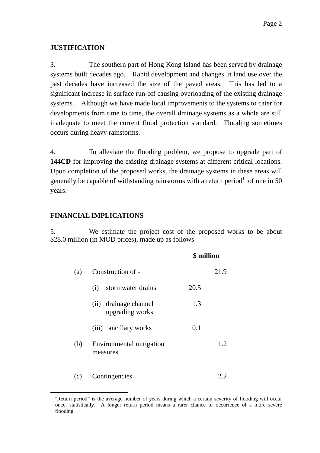### **JUSTIFICATION**

3. The southern part of Hong Kong Island has been served by drainage systems built decades ago. Rapid development and changes in land use over the past decades have increased the size of the paved areas. This has led to a significant increase in surface run-off causing overloading of the existing drainage systems. Although we have made local improvements to the systems to cater for developments from time to time, the overall drainage systems as a whole are still inadequate to meet the current flood protection standard. Flooding sometimes occurs during heavy rainstorms.

4. To alleviate the flooding problem, we propose to upgrade part of **144CD** for improving the existing drainage systems at different critical locations. Upon completion of the proposed works, the drainage systems in these areas will generally be capable of withstanding rainstorms with a return period  $1$  of one in 50 years.

### **FINANCIAL IMPLICATIONS**

5. We estimate the project cost of the proposed works to be about \$28.0 million (in MOD prices), made up as follows –

|     |                                             | \$ million |  |
|-----|---------------------------------------------|------------|--|
| (a) | Construction of -                           | 21.9       |  |
|     | stormwater drains<br>(i)                    | 20.5       |  |
|     | drainage channel<br>(ii)<br>upgrading works | 1.3        |  |
|     | ancillary works<br>(iii)                    | 0.1        |  |
| (b) | Environmental mitigation<br>measures        | 1.2        |  |
| (c) | Contingencies                               |            |  |

 $\overline{a}$ 1 "Return period" is the average number of years during which a certain severity of flooding will occur once, statistically. A longer return period means a rarer chance of occurrence of a more severe flooding.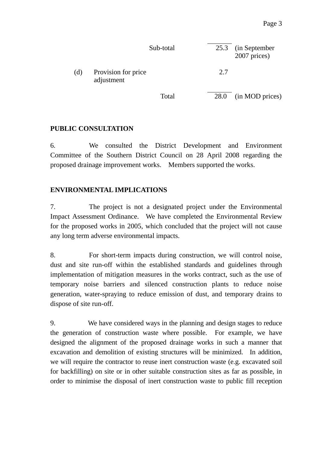|     |                                   | Sub-total | 25.3        | (in September)<br>2007 prices) |
|-----|-----------------------------------|-----------|-------------|--------------------------------|
| (d) | Provision for price<br>adjustment |           | 2.7         |                                |
|     |                                   | Total     | <b>28.0</b> | (in MOD prices)                |

## **PUBLIC CONSULTATION**

6. We consulted the District Development and Environment Committee of the Southern District Council on 28 April 2008 regarding the proposed drainage improvement works. Members supported the works.

## **ENVIRONMENTAL IMPLICATIONS**

7. The project is not a designated project under the Environmental Impact Assessment Ordinance. We have completed the Environmental Review for the proposed works in 2005, which concluded that the project will not cause any long term adverse environmental impacts.

8. For short-term impacts during construction, we will control noise, dust and site run-off within the established standards and guidelines through implementation of mitigation measures in the works contract, such as the use of temporary noise barriers and silenced construction plants to reduce noise generation, water-spraying to reduce emission of dust, and temporary drains to dispose of site run-off.

9. We have considered ways in the planning and design stages to reduce the generation of construction waste where possible. For example, we have designed the alignment of the proposed drainage works in such a manner that excavation and demolition of existing structures will be minimized. In addition, we will require the contractor to reuse inert construction waste (e.g. excavated soil for backfilling) on site or in other suitable construction sites as far as possible, in order to minimise the disposal of inert construction waste to public fill reception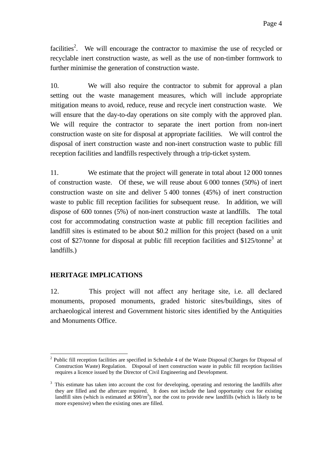facilities<sup>2</sup>. We will encourage the contractor to maximise the use of recycled or recyclable inert construction waste, as well as the use of non-timber formwork to further minimise the generation of construction waste.

10. We will also require the contractor to submit for approval a plan setting out the waste management measures, which will include appropriate mitigation means to avoid, reduce, reuse and recycle inert construction waste. We will ensure that the day-to-day operations on site comply with the approved plan. We will require the contractor to separate the inert portion from non-inert construction waste on site for disposal at appropriate facilities. We will control the disposal of inert construction waste and non-inert construction waste to public fill reception facilities and landfills respectively through a trip-ticket system.

11. We estimate that the project will generate in total about 12 000 tonnes of construction waste. Of these, we will reuse about 6 000 tonnes (50%) of inert construction waste on site and deliver 5 400 tonnes (45%) of inert construction waste to public fill reception facilities for subsequent reuse. In addition, we will dispose of 600 tonnes (5%) of non-inert construction waste at landfills. The total cost for accommodating construction waste at public fill reception facilities and landfill sites is estimated to be about \$0.2 million for this project (based on a unit cost of \$27/tonne for disposal at public fill reception facilities and \$125/tonne<sup>3</sup> at landfills.)

## **HERITAGE IMPLICATIONS**

12. This project will not affect any heritage site, i.e. all declared monuments, proposed monuments, graded historic sites/buildings, sites of archaeological interest and Government historic sites identified by the Antiquities and Monuments Office.

 $\overline{a}$ <sup>2</sup> Public fill reception facilities are specified in Schedule 4 of the Waste Disposal (Charges for Disposal of Construction Waste) Regulation. Disposal of inert construction waste in public fill reception facilities requires a licence issued by the Director of Civil Engineering and Development.

<sup>&</sup>lt;sup>3</sup> This estimate has taken into account the cost for developing, operating and restoring the landfills after they are filled and the aftercare required. It does not include the land opportunity cost for existing landfill sites (which is estimated at  $\sinh^3$ ), nor the cost to provide new landfills (which is likely to be more expensive) when the existing ones are filled.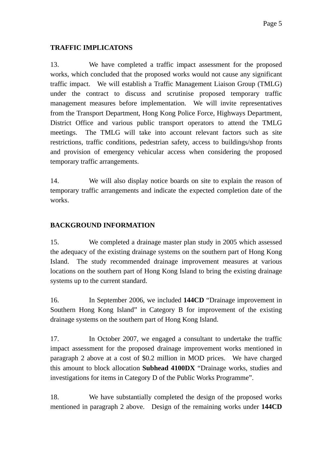## **TRAFFIC IMPLICATONS**

13. We have completed a traffic impact assessment for the proposed works, which concluded that the proposed works would not cause any significant traffic impact. We will establish a Traffic Management Liaison Group (TMLG) under the contract to discuss and scrutinise proposed temporary traffic management measures before implementation. We will invite representatives from the Transport Department, Hong Kong Police Force, Highways Department, District Office and various public transport operators to attend the TMLG meetings. The TMLG will take into account relevant factors such as site restrictions, traffic conditions, pedestrian safety, access to buildings/shop fronts and provision of emergency vehicular access when considering the proposed temporary traffic arrangements.

14. We will also display notice boards on site to explain the reason of temporary traffic arrangements and indicate the expected completion date of the works.

# **BACKGROUND INFORMATION**

15. We completed a drainage master plan study in 2005 which assessed the adequacy of the existing drainage systems on the southern part of Hong Kong Island. The study recommended drainage improvement measures at various locations on the southern part of Hong Kong Island to bring the existing drainage systems up to the current standard.

16. In September 2006, we included **144CD** "Drainage improvement in Southern Hong Kong Island" in Category B for improvement of the existing drainage systems on the southern part of Hong Kong Island.

17. In October 2007, we engaged a consultant to undertake the traffic impact assessment for the proposed drainage improvement works mentioned in paragraph 2 above at a cost of \$0.2 million in MOD prices. We have charged this amount to block allocation **Subhead 4100DX** "Drainage works, studies and investigations for items in Category D of the Public Works Programme".

18. We have substantially completed the design of the proposed works mentioned in paragraph 2 above. Design of the remaining works under **144CD**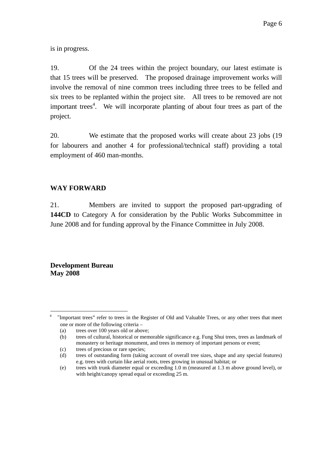is in progress.

19. Of the 24 trees within the project boundary, our latest estimate is that 15 trees will be preserved. The proposed drainage improvement works will involve the removal of nine common trees including three trees to be felled and six trees to be replanted within the project site. All trees to be removed are not important trees<sup>4</sup>. We will incorporate planting of about four trees as part of the project.

20. We estimate that the proposed works will create about 23 jobs (19 for labourers and another 4 for professional/technical staff) providing a total employment of 460 man-months.

## **WAY FORWARD**

21. Members are invited to support the proposed part-upgrading of **144CD** to Category A for consideration by the Public Works Subcommittee in June 2008 and for funding approval by the Finance Committee in July 2008.

**Development Bureau May 2008** 

 $\overline{a}$ <sup>4</sup> "Important trees" refer to trees in the Register of Old and Valuable Trees, or any other trees that meet one or more of the following criteria –

<sup>(</sup>a) trees over 100 years old or above;

<sup>(</sup>b) trees of cultural, historical or memorable significance e.g. Fung Shui trees, trees as landmark of monastery or heritage monument, and trees in memory of important persons or event;

<sup>(</sup>c) trees of precious or rare species;

<sup>(</sup>d) trees of outstanding form (taking account of overall tree sizes, shape and any special features) e.g. trees with curtain like aerial roots, trees growing in unusual habitat; or

<sup>(</sup>e) trees with trunk diameter equal or exceeding 1.0 m (measured at 1.3 m above ground level), or with height/canopy spread equal or exceeding 25 m.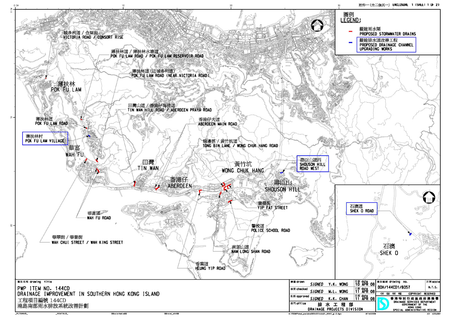